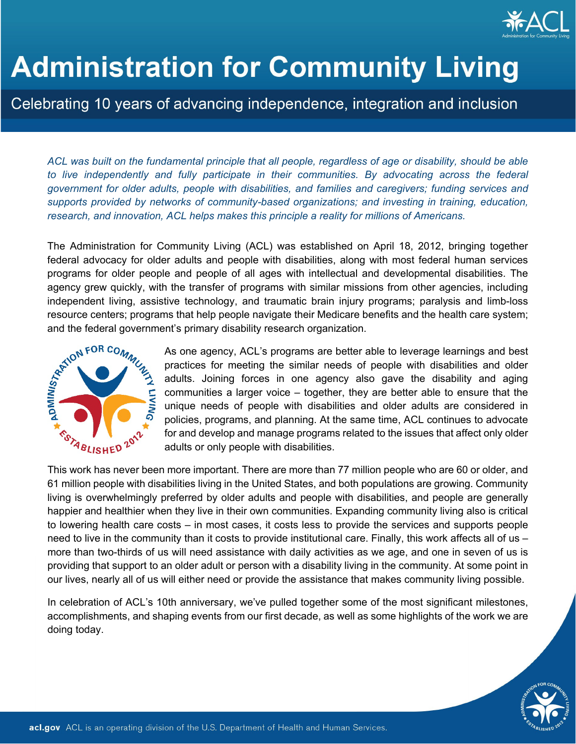

# **Administration for Community Living**

# Celebrating 10 years of advancing independence, integration and inclusion

*ACL was built on the fundamental principle that all people, regardless of age or disability, should be able*  to live independently and fully participate in their communities. By advocating across the federal *government for older adults, people with disabilities, and families and caregivers; funding services and supports provided by networks of community-based organizations; and investing in training, education, research, and innovation, ACL helps makes this principle a reality for millions of Americans.*

The Administration for Community Living (ACL) was established on April 18, 2012, bringing together federal advocacy for older adults and people with disabilities, along with most federal human services programs for older people and people of all ages with intellectual and developmental disabilities. The agency grew quickly, with the transfer of programs with similar missions from other agencies, including independent living, assistive technology, and traumatic brain injury programs; paralysis and limb-loss resource centers; programs that help people navigate their Medicare benefits and the health care system; and the federal government's primary disability research organization.

> As one agency, ACL's programs are better able to leverage learnings and best practices for meeting the similar needs of people with disabilities and older adults. Joining forces in one agency also gave the disability and aging communities a larger voice – together, they are better able to ensure that the unique needs of people with disabilities and older adults are considered in policies, programs, and planning. At the same time, ACL continues to advocate for and develop and manage programs related to the issues that affect only older adults or only people with disabilities.

This work has never been more important. There are more than 77 million people who are 60 or older, and 61 million people with disabilities living in the United States, and both populations are growing. Community living is overwhelmingly preferred by older adults and people with disabilities, and people are generally happier and healthier when they live in their own communities. Expanding community living also is critical to lowering health care costs – in most cases, it costs less to provide the services and supports people need to live in the community than it costs to provide institutional care. Finally, this work affects all of us – more than two-thirds of us will need assistance with daily activities as we age, and one in seven of us is providing that support to an older adult or person with a disability living in the community. At some point in our lives, nearly all of us will either need or provide the assistance that makes community living possible.

In celebration of ACL's 10th anniversary, we've pulled together some of the most significant milestones, accomplishments, and shaping events from our first decade, as well as some highlights of the work we are doing today.

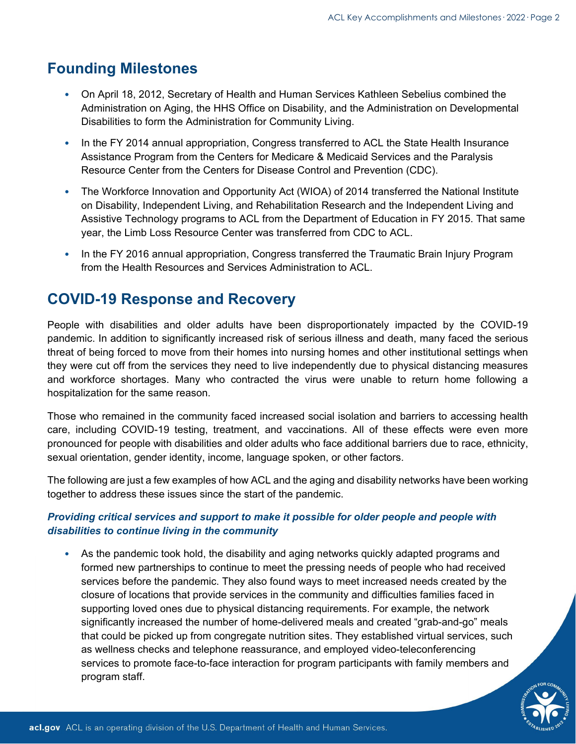# **Founding Milestones**

- On April 18, 2012, Secretary of Health and Human Services Kathleen Sebelius combined the Administration on Aging, the HHS Office on Disability, and the Administration on Developmental Disabilities to form the Administration for Community Living.
- In the FY 2014 annual appropriation, Congress transferred to ACL the State Health Insurance Assistance Program from the Centers for Medicare & Medicaid Services and the Paralysis Resource Center from the Centers for Disease Control and Prevention (CDC).
- The Workforce Innovation and Opportunity Act (WIOA) of 2014 transferred the National Institute on Disability, Independent Living, and Rehabilitation Research and the Independent Living and Assistive Technology programs to ACL from the Department of Education in FY 2015. That same year, the Limb Loss Resource Center was transferred from CDC to ACL.
- In the FY 2016 annual appropriation, Congress transferred the Traumatic Brain Injury Program from the Health Resources and Services Administration to ACL.

# **COVID-19 Response and Recovery**

People with disabilities and older adults have been disproportionately impacted by the COVID-19 pandemic. In addition to significantly increased risk of serious illness and death, many faced the serious threat of being forced to move from their homes into nursing homes and other institutional settings when they were cut off from the services they need to live independently due to physical distancing measures and workforce shortages. Many who contracted the virus were unable to return home following a hospitalization for the same reason.

Those who remained in the community faced increased social isolation and barriers to accessing health care, including COVID-19 testing, treatment, and vaccinations. All of these effects were even more pronounced for people with disabilities and older adults who face additional barriers due to race, ethnicity, sexual orientation, gender identity, income, language spoken, or other factors.

The following are just a few examples of how ACL and the aging and disability networks have been working together to address these issues since the start of the pandemic.

## *Providing critical services and support to make it possible for older people and people with disabilities to continue living in the community*

• As the pandemic took hold, the disability and aging networks quickly adapted programs and formed new partnerships to continue to meet the pressing needs of people who had received services before the pandemic. They also found ways to meet increased needs created by the closure of locations that provide services in the community and difficulties families faced in supporting loved ones due to physical distancing requirements. For example, the network significantly increased the number of home-delivered meals and created "grab-and-go" meals that could be picked up from congregate nutrition sites. They established virtual services, such as wellness checks and telephone reassurance, and employed video-teleconferencing services to promote face-to-face interaction for program participants with family members and program staff.

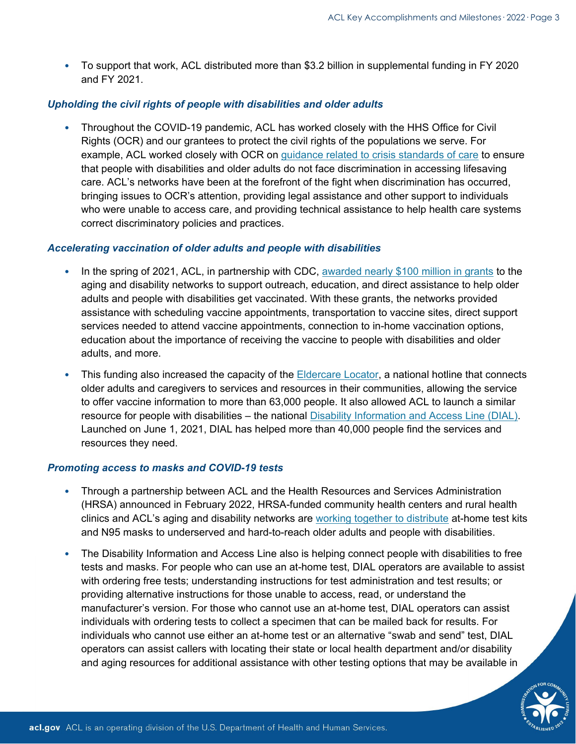• To support that work, ACL distributed more than \$3.2 billion in supplemental funding in FY 2020 and FY 2021.

#### *Upholding the civil rights of people with disabilities and older adults*

• Throughout the COVID-19 pandemic, ACL has worked closely with the HHS Office for Civil Rights (OCR) and our grantees to protect the civil rights of the populations we serve. For example, ACL worked closely with OCR on [guidance related to crisis standards of care](https://nam12.safelinks.protection.outlook.com/?url=https%3A%2F%2Fprotect-us.mimecast.com%2Fs%2FJWWaCG6Vj9I1Bj6sK3gfp%3Fdomain%3Dhhs.gov&data=05%7C01%7Cnlindner%40betah.com%7Cdc5e0efcdc3e415f9b1408da279abea9%7C45b91c92cbd0485499f906f7ba89644e%7C0%7C0%7C637865842835693320%7CUnknown%7CTWFpbGZsb3d8eyJWIjoiMC4wLjAwMDAiLCJQIjoiV2luMzIiLCJBTiI6Ik1haWwiLCJXVCI6Mn0%3D%7C3000%7C%7C%7C&sdata=bhBWzvgXuxjxZ8Sk4y4uqMLq%2BnIxs%2F%2F3giEz0k767L4%3D&reserved=0) to ensure that people with disabilities and older adults do not face discrimination in accessing lifesaving care. ACL's networks have been at the forefront of the fight when discrimination has occurred, bringing issues to OCR's attention, providing legal assistance and other support to individuals who were unable to access care, and providing technical assistance to help health care systems correct discriminatory policies and practices.

#### *Accelerating vaccination of older adults and people with disabilities*

- In the spring of 2021, ACL, in partnership with CDC, [awarded nearly \\$100 million in grants](https://www.hhs.gov/about/news/2021/03/29/hhs-to-expand-access-to-covid-19-vaccines-for-older-adults-and-people-with-disabilities.html) to the aging and disability networks to support outreach, education, and direct assistance to help older adults and people with disabilities get vaccinated. With these grants, the networks provided assistance with scheduling vaccine appointments, transportation to vaccine sites, direct support services needed to attend vaccine appointments, connection to in-home vaccination options, education about the importance of receiving the vaccine to people with disabilities and older adults, and more.
- This funding also increased the capacity of the [Eldercare Locator,](https://eldercare.acl.gov/) a national hotline that connects older adults and caregivers to services and resources in their communities, allowing the service to offer vaccine information to more than 63,000 people. It also allowed ACL to launch a similar resource for people with disabilities – the national [Disability Information and Access Line \(DIAL\).](https://acl.gov/DIAL) Launched on June 1, 2021, DIAL has helped more than 40,000 people find the services and resources they need.

#### *Promoting access to masks and COVID-19 tests*

- Through a partnership between ACL and the Health Resources and Services Administration (HRSA) announced in February 2022, HRSA-funded community health centers and rural health clinics and ACL's aging and disability networks are [working together to distribute](https://acl.gov/covid19/aging-and-disability-networks) at-home test kits and N95 masks to underserved and hard-to-reach older adults and people with disabilities.
- The Disability Information and Access Line also is helping connect people with disabilities to free tests and masks. For people who can use an at-home test, DIAL operators are available to assist with ordering free tests; understanding instructions for test administration and test results; or providing alternative instructions for those unable to access, read, or understand the manufacturer's version. For those who cannot use an at-home test, DIAL operators can assist individuals with ordering tests to collect a specimen that can be mailed back for results. For individuals who cannot use either an at-home test or an alternative "swab and send" test, DIAL operators can assist callers with locating their state or local health department and/or disability and aging resources for additional assistance with other testing options that may be available in

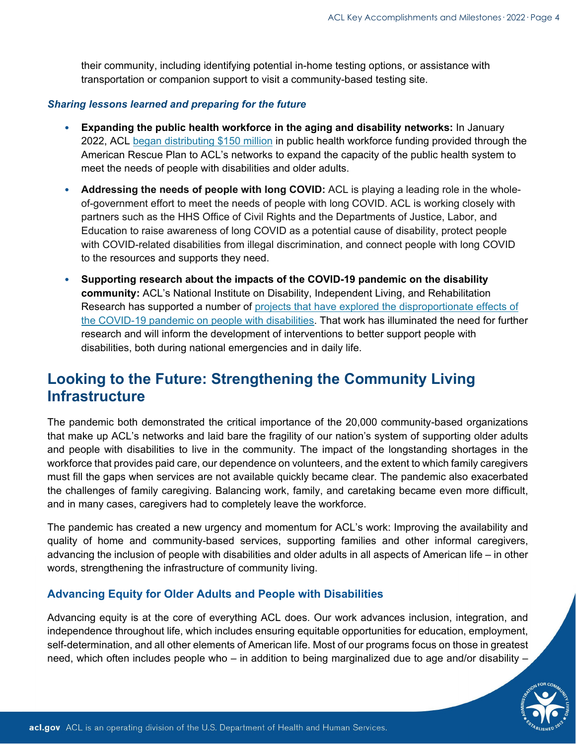their community, including identifying potential in-home testing options, or assistance with transportation or companion support to visit a community-based testing site.

#### *Sharing lessons learned and preparing for the future*

- **Expanding the public health workforce in the aging and disability networks:** In January 2022, ACL [began distributing \\$150 million](https://acl.gov/news-and-events/announcements/acl-investing-150-million-expand-public-health-workforce-respond) in public health workforce funding provided through the American Rescue Plan to ACL's networks to expand the capacity of the public health system to meet the needs of people with disabilities and older adults.
- **Addressing the needs of people with long COVID:** ACL is playing a leading role in the wholeof-government effort to meet the needs of people with long COVID. ACL is working closely with partners such as the HHS Office of Civil Rights and the Departments of Justice, Labor, and Education to raise awareness of long COVID as a potential cause of disability, protect people with COVID-related disabilities from illegal discrimination, and connect people with long COVID to the resources and supports they need.
- **Supporting research about the impacts of the COVID-19 pandemic on the disability community:** ACL's National Institute on Disability, Independent Living, and Rehabilitation Research has supported a number of projects that have explored the disproportionate effects of [the COVID-19 pandemic on people with disabilities.](https://acl.gov/sites/default/files/COVID19/ACL_Research_ImpactC19-PWD.pdf) That work has illuminated the need for further research and will inform the development of interventions to better support people with disabilities, both during national emergencies and in daily life.

# **Looking to the Future: Strengthening the Community Living Infrastructure**

The pandemic both demonstrated the critical importance of the 20,000 community-based organizations that make up ACL's networks and laid bare the fragility of our nation's system of supporting older adults and people with disabilities to live in the community. The impact of the longstanding shortages in the workforce that provides paid care, our dependence on volunteers, and the extent to which family caregivers must fill the gaps when services are not available quickly became clear. The pandemic also exacerbated the challenges of family caregiving. Balancing work, family, and caretaking became even more difficult, and in many cases, caregivers had to completely leave the workforce.

The pandemic has created a new urgency and momentum for ACL's work: Improving the availability and quality of home and community-based services, supporting families and other informal caregivers, advancing the inclusion of people with disabilities and older adults in all aspects of American life – in other words, strengthening the infrastructure of community living.

## **Advancing Equity for Older Adults and People with Disabilities**

Advancing equity is at the core of everything ACL does. Our work advances inclusion, integration, and independence throughout life, which includes ensuring equitable opportunities for education, employment, self-determination, and all other elements of American life. Most of our programs focus on those in greatest need, which often includes people who – in addition to being marginalized due to age and/or disability –

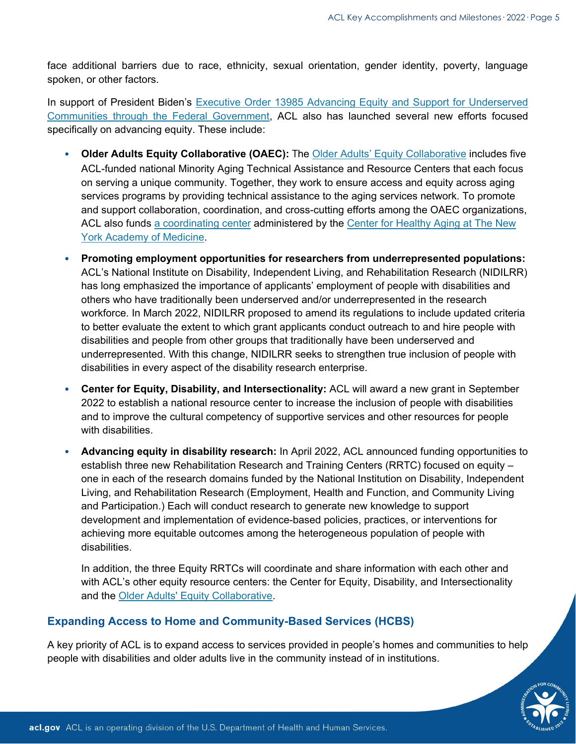face additional barriers due to race, ethnicity, sexual orientation, gender identity, poverty, language spoken, or other factors.

In support of President Biden's [Executive Order 13985 Advancing Equity and Support for Underserved](https://www.whitehouse.gov/briefing-room/presidential-actions/2021/01/20/executive-order-advancing-racial-equity-and-support-for-underserved-communities-through-the-federal-government/)  [Communities through the Federal Government,](https://www.whitehouse.gov/briefing-room/presidential-actions/2021/01/20/executive-order-advancing-racial-equity-and-support-for-underserved-communities-through-the-federal-government/) ACL also has launched several new efforts focused specifically on advancing equity. These include:

- **Older Adults Equity Collaborative (OAEC):** The [Older Adults' Equity Collaborative](https://acl.gov/programs/diversity-and-cultural-competency/oaec) includes five ACL-funded national Minority Aging Technical Assistance and Resource Centers that each focus on serving a unique community. Together, they work to ensure access and equity across aging services programs by providing technical assistance to the aging services network. To promote and support collaboration, coordination, and cross-cutting efforts among the OAEC organizations, ACL also funds [a coordinating center](https://www.nyam.org/center-healthy-aging/advising/oaec-resource-library/) administered by the [Center for Healthy Aging at The New](https://www.nyam.org/our-expertise/center-healthy-aging/)  [York Academy of Medicine.](https://www.nyam.org/our-expertise/center-healthy-aging/)
- **Promoting employment opportunities for researchers from underrepresented populations:** ACL's National Institute on Disability, Independent Living, and Rehabilitation Research (NIDILRR) has long emphasized the importance of applicants' employment of people with disabilities and others who have traditionally been underserved and/or underrepresented in the research workforce. In March 2022, NIDILRR proposed to amend its regulations to include updated criteria to better evaluate the extent to which grant applicants conduct outreach to and hire people with disabilities and people from other groups that traditionally have been underserved and underrepresented. With this change, NIDILRR seeks to strengthen true inclusion of people with disabilities in every aspect of the disability research enterprise.
- **Center for Equity, Disability, and Intersectionality:** ACL will award a new grant in September 2022 to establish a national resource center to increase the inclusion of people with disabilities and to improve the cultural competency of supportive services and other resources for people with disabilities.
- **Advancing equity in disability research:** In April 2022, ACL announced funding opportunities to establish three new Rehabilitation Research and Training Centers (RRTC) focused on equity – one in each of the research domains funded by the National Institution on Disability, Independent Living, and Rehabilitation Research (Employment, Health and Function, and Community Living and Participation.) Each will conduct research to generate new knowledge to support development and implementation of evidence-based policies, practices, or interventions for achieving more equitable outcomes among the heterogeneous population of people with disabilities.

In addition, the three Equity RRTCs will coordinate and share information with each other and with ACL's other equity resource centers: the Center for Equity, Disability, and Intersectionality and the [Older Adults' Equity Collaborative.](https://acl.gov/news-and-events/announcements/network-older-adults-equity-collaborative-resource-library)

## **Expanding Access to Home and Community-Based Services (HCBS)**

A key priority of ACL is to expand access to services provided in people's homes and communities to help people with disabilities and older adults live in the community instead of in institutions.

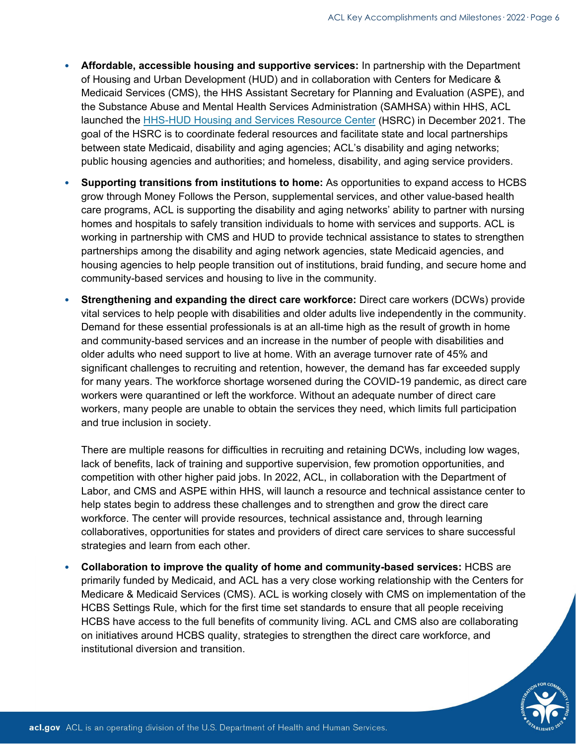- **Affordable, accessible housing and supportive services:** In partnership with the Department of Housing and Urban Development (HUD) and in collaboration with Centers for Medicare & Medicaid Services (CMS), the HHS Assistant Secretary for Planning and Evaluation (ASPE), and the Substance Abuse and Mental Health Services Administration (SAMHSA) within HHS, ACL launched the [HHS-HUD Housing and Services Resource Center](https://acl.gov/HousingAndServices) (HSRC) in December 2021. The goal of the HSRC is to coordinate federal resources and facilitate state and local partnerships between state Medicaid, disability and aging agencies; ACL's disability and aging networks; public housing agencies and authorities; and homeless, disability, and aging service providers.
- **Supporting transitions from institutions to home:** As opportunities to expand access to HCBS grow through Money Follows the Person, supplemental services, and other value-based health care programs, ACL is supporting the disability and aging networks' ability to partner with nursing homes and hospitals to safely transition individuals to home with services and supports. ACL is working in partnership with CMS and HUD to provide technical assistance to states to strengthen partnerships among the disability and aging network agencies, state Medicaid agencies, and housing agencies to help people transition out of institutions, braid funding, and secure home and community-based services and housing to live in the community.
- **Strengthening and expanding the direct care workforce:** Direct care workers (DCWs) provide vital services to help people with disabilities and older adults live independently in the community. Demand for these essential professionals is at an all-time high as the result of growth in home and community-based services and an increase in the number of people with disabilities and older adults who need support to live at home. With an average turnover rate of 45% and significant challenges to recruiting and retention, however, the demand has far exceeded supply for many years. The workforce shortage worsened during the COVID-19 pandemic, as direct care workers were quarantined or left the workforce. Without an adequate number of direct care workers, many people are unable to obtain the services they need, which limits full participation and true inclusion in society.

There are multiple reasons for difficulties in recruiting and retaining DCWs, including low wages, lack of benefits, lack of training and supportive supervision, few promotion opportunities, and competition with other higher paid jobs. In 2022, ACL, in collaboration with the Department of Labor, and CMS and ASPE within HHS, will launch a resource and technical assistance center to help states begin to address these challenges and to strengthen and grow the direct care workforce. The center will provide resources, technical assistance and, through learning collaboratives, opportunities for states and providers of direct care services to share successful strategies and learn from each other.

• **Collaboration to improve the quality of home and community-based services:** HCBS are primarily funded by Medicaid, and ACL has a very close working relationship with the Centers for Medicare & Medicaid Services (CMS). ACL is working closely with CMS on implementation of the HCBS Settings Rule, which for the first time set standards to ensure that all people receiving HCBS have access to the full benefits of community living. ACL and CMS also are collaborating on initiatives around HCBS quality, strategies to strengthen the direct care workforce, and institutional diversion and transition.

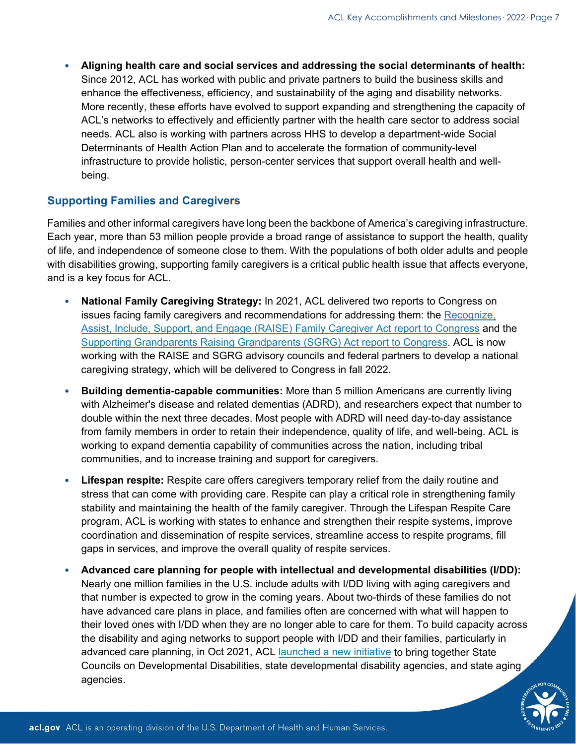• **Aligning health care and social services and addressing the social determinants of health:** Since 2012, ACL has worked with public and private partners to build the business skills and enhance the effectiveness, efficiency, and sustainability of the aging and disability networks. More recently, these efforts have evolved to support expanding and strengthening the capacity of ACL's networks to effectively and efficiently partner with the health care sector to address social needs. ACL also is working with partners across HHS to develop a department-wide Social Determinants of Health Action Plan and to accelerate the formation of community-level infrastructure to provide holistic, person-center services that support overall health and wellbeing.

## **Supporting Families and Caregivers**

Families and other informal caregivers have long been the backbone of America's caregiving infrastructure. Each year, more than 53 million people provide a broad range of assistance to support the health, quality of life, and independence of someone close to them. With the populations of both older adults and people with disabilities growing, supporting family caregivers is a critical public health issue that affects everyone, and is a key focus for ACL.

- **National Family Caregiving Strategy:** In 2021, ACL delivered two reports to Congress on issues facing family caregivers and recommendations for addressing them: the [Recognize,](https://acl.gov/RAISE/report)  [Assist, Include, Support, and Engage \(RAISE\) Family Caregiver Act report to Congress](https://acl.gov/RAISE/report) and the [Supporting Grandparents Raising Grandparents \(SGRG\) Act report to Congress.](https://acl.gov/SGRG/report) ACL is now working with the RAISE and SGRG advisory councils and federal partners to develop a national caregiving strategy, which will be delivered to Congress in fall 2022.
- **Building dementia-capable communities:** More than 5 million Americans are currently living with Alzheimer's disease and related dementias (ADRD), and researchers expect that number to double within the next three decades. Most people with ADRD will need day-to-day assistance from family members in order to retain their independence, quality of life, and well-being. ACL is working to expand dementia capability of communities across the nation, including tribal communities, and to increase training and support for caregivers.
- **Lifespan respite:** Respite care offers caregivers temporary relief from the daily routine and stress that can come with providing care. Respite can play a critical role in strengthening family stability and maintaining the health of the family caregiver. Through the Lifespan Respite Care program, ACL is working with states to enhance and strengthen their respite systems, improve coordination and dissemination of respite services, streamline access to respite programs, fill gaps in services, and improve the overall quality of respite services.
- **Advanced care planning for people with intellectual and developmental disabilities (I/DD):** Nearly one million families in the U.S. include adults with I/DD living with aging caregivers and that number is expected to grow in the coming years. About two-thirds of these families do not have advanced care plans in place, and families often are concerned with what will happen to their loved ones with I/DD when they are no longer able to care for them. To build capacity across the disability and aging networks to support people with I/DD and their families, particularly in advanced care planning, in Oct 2021, ACL [launched a new initiative](https://acl.gov/news-and-events/announcements/acl-awards-project-national-significance-bridging-aging-and) to bring together State Councils on Developmental Disabilities, state developmental disability agencies, and state aging agencies.

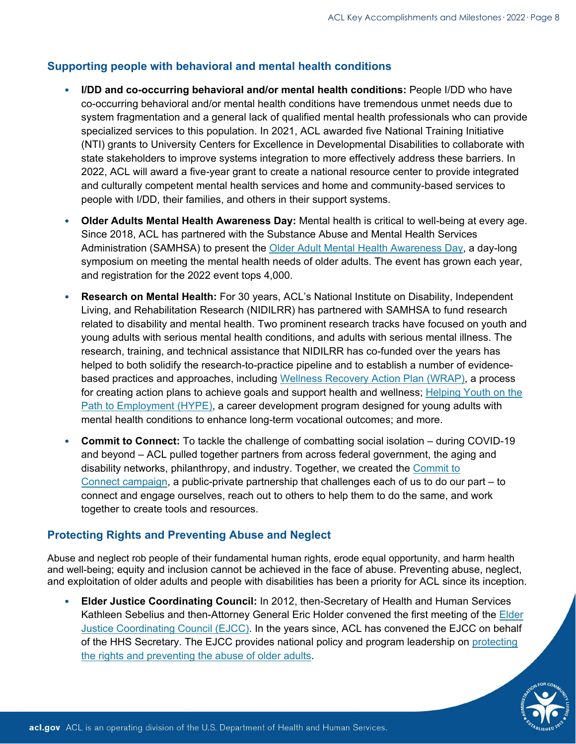## **Supporting people with behavioral and mental health conditions**

- **I/DD and co-occurring behavioral and/or mental health conditions:** People I/DD who have co-occurring behavioral and/or mental health conditions have tremendous unmet needs due to system fragmentation and a general lack of qualified mental health professionals who can provide specialized services to this population. In 2021, ACL awarded five National Training Initiative (NTI) grants to University Centers for Excellence in Developmental Disabilities to collaborate with state stakeholders to improve systems integration to more effectively address these barriers. In 2022, ACL will award a five-year grant to create a national resource center to provide integrated and culturally competent mental health services and home and community-based services to people with I/DD, their families, and others in their support systems.
- **Older Adults Mental Health Awareness Day:** Mental health is critical to well-being at every age. Since 2018, ACL has partnered with the Substance Abuse and Mental Health Services Administration (SAMHSA) to present the [Older Adult Mental Health Awareness Day,](https://connect.ncoa.org/oamhad2022?utm_source=Toolkit&utm_medium=Social&utm_campaign=OAMHAD&j=1454165&sfmc_sub=6954352&l=6707_HTML&u=32653772&mid=515008575&jb=0) a day-long symposium on meeting the mental health needs of older adults. The event has grown each year, and registration for the 2022 event tops 4,000.
- **Research on Mental Health:** For 30 years, ACL's National Institute on Disability, Independent Living, and Rehabilitation Research (NIDILRR) has partnered with SAMHSA to fund research related to disability and mental health. Two prominent research tracks have focused on youth and young adults with serious mental health conditions, and adults with serious mental illness. The research, training, and technical assistance that NIDILRR has co-funded over the years has helped to both solidify the research-to-practice pipeline and to establish a number of evidencebased practices and approaches, including [Wellness Recovery Action Plan \(WRAP\),](https://www.wellnessrecoveryactionplan.com/what-is-wrap/) a process for creating action plans to achieve goals and support health and wellness; [Helping Youth on the](https://www.umassmed.edu/hype/)  [Path to Employment \(HYPE\),](https://www.umassmed.edu/hype/) a career development program designed for young adults with mental health conditions to enhance long-term vocational outcomes; and more.
- **Commit to Connect:** To tackle the challenge of combatting social isolation during COVID-19 and beyond – ACL pulled together partners from across federal government, the aging and disability networks, philanthropy, and industry. Together, we created the [Commit to](https://acl.gov/CommitToConnect)  Connect [campaign,](https://acl.gov/CommitToConnect) a public-private partnership that challenges each of us to do our part – to connect and engage ourselves, reach out to others to help them to do the same, and work together to create tools and resources.

## **Protecting Rights and Preventing Abuse and Neglect**

Abuse and neglect rob people of their fundamental human rights, erode equal opportunity, and harm health and well-being; equity and inclusion cannot be achieved in the face of abuse. Preventing abuse, neglect, and exploitation of older adults and people with disabilities has been a priority for ACL since its inception.

• **Elder Justice Coordinating Council:** In 2012, then-Secretary of Health and Human Services Kathleen Sebelius and then-Attorney General Eric Holder convened the first meeting of the [Elder](https://acl.gov/programs/elder-justice/elder-justice-coordinating-council-ejcc)  [Justice Coordinating Council \(EJCC\).](https://acl.gov/programs/elder-justice/elder-justice-coordinating-council-ejcc) In the years since, ACL has convened the EJCC on behalf of the HHS Secretary. The EJCC provides national policy and program leadership on [protecting](https://acl.gov/programs/elder-justice/prevention-elder-abuse-neglect-and-exploitation)  [the rights and preventing the abuse of older adults.](https://acl.gov/programs/elder-justice/prevention-elder-abuse-neglect-and-exploitation)

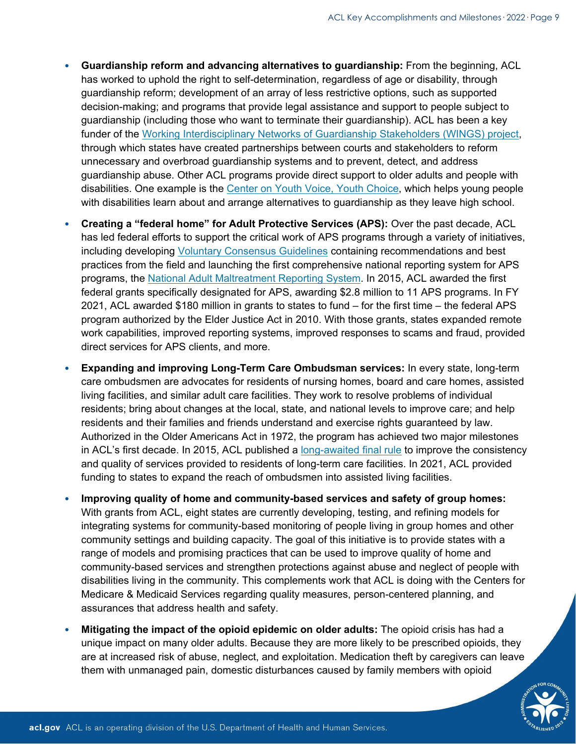- **Guardianship reform and advancing alternatives to guardianship:** From the beginning, ACL has worked to uphold the right to self-determination, regardless of age or disability, through guardianship reform; development of an array of less restrictive options, such as supported decision-making; and programs that provide legal assistance and support to people subject to guardianship (including those who want to terminate their guardianship). ACL has been a key funder of the [Working Interdisciplinary Networks of Guardianship Stakeholders \(WINGS\) project,](https://www.americanbar.org/groups/law_aging/resources/wings-court-stakeholder-partnerships0/) through which states have created partnerships between courts and stakeholders to reform unnecessary and overbroad guardianship systems and to prevent, detect, and address guardianship abuse. Other ACL programs provide direct support to older adults and people with disabilities. One example is the [Center on Youth Voice, Youth Choice,](https://gcc02.safelinks.protection.outlook.com/?url=https%3A%2F%2Fyouth-voice.org%2F&data=05%7C01%7CChristine.Phillips%40acl.hhs.gov%7C0b0cbeb6016742f1eac808da2259286a%7Cd58addea50534a808499ba4d944910df%7C0%7C0%7C637860063722369537%7CUnknown%7CTWFpbGZsb3d8eyJWIjoiMC4wLjAwMDAiLCJQIjoiV2luMzIiLCJBTiI6Ik1haWwiLCJXVCI6Mn0%3D%7C3000%7C%7C%7C&sdata=wiWOSp2mdt02z4ntBeqRGmWf49UUl1rS5VnHYKb0dyI%3D&reserved=0) which helps young people with disabilities learn about and arrange alternatives to guardianship as they leave high school.
- **Creating a "federal home" for Adult Protective Services (APS):** Over the past decade, ACL has led federal efforts to support the critical work of APS programs through a variety of initiatives, including developing [Voluntary Consensus Guidelines](https://acl.gov/programs/elder-justice/final-voluntary-consensus-guidelines-state-aps-systems) containing recommendations and best practices from the field and launching the first comprehensive national reporting system for APS programs, the [National Adult Maltreatment Reporting System.](https://namrs.acl.gov/) In 2015, ACL awarded the first federal grants specifically designated for APS, awarding \$2.8 million to 11 APS programs. In FY 2021, ACL awarded \$180 million in grants to states to fund – for the first time – the federal APS program authorized by the Elder Justice Act in 2010. With those grants, states expanded remote work capabilities, improved reporting systems, improved responses to scams and fraud, provided direct services for APS clients, and more.
- **Expanding and improving Long-Term Care Ombudsman services:** In every state, long-term care ombudsmen are advocates for residents of nursing homes, board and care homes, assisted living facilities, and similar adult care facilities. They work to resolve problems of individual residents; bring about changes at the local, state, and national levels to improve care; and help residents and their families and friends understand and exercise rights guaranteed by law. Authorized in the Older Americans Act in 1972, the program has achieved two major milestones in ACL's first decade. In 2015, ACL published a [long-awaited final rule](https://www.federalregister.gov/documents/2015/02/11/2015-01914/state-long-term-care-ombudsman-programs) to improve the consistency and quality of services provided to residents of long-term care facilities. In 2021, ACL provided funding to states to expand the reach of ombudsmen into assisted living facilities.
- **Improving quality of home and community-based services and safety of group homes:** With grants from ACL, eight states are currently developing, testing, and refining models for integrating systems for community-based monitoring of people living in group homes and other community settings and building capacity. The goal of this initiative is to provide states with a range of models and promising practices that can be used to improve quality of home and community-based services and strengthen protections against abuse and neglect of people with disabilities living in the community. This complements work that ACL is doing with the Centers for Medicare & Medicaid Services regarding quality measures, person-centered planning, and assurances that address health and safety.
- **Mitigating the impact of the opioid epidemic on older adults:** The opioid crisis has had a unique impact on many older adults. Because they are more likely to be prescribed opioids, they are at increased risk of abuse, neglect, and exploitation. Medication theft by caregivers can leave them with unmanaged pain, domestic disturbances caused by family members with opioid